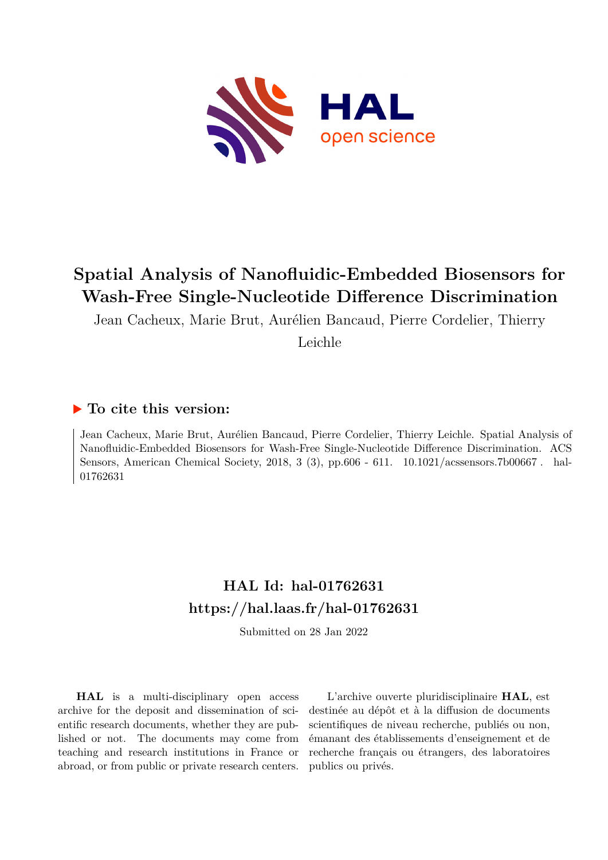

## **Spatial Analysis of Nanofluidic-Embedded Biosensors for Wash-Free Single-Nucleotide Difference Discrimination**

Jean Cacheux, Marie Brut, Aurélien Bancaud, Pierre Cordelier, Thierry

Leichle

### **To cite this version:**

Jean Cacheux, Marie Brut, Aurélien Bancaud, Pierre Cordelier, Thierry Leichle. Spatial Analysis of Nanofluidic-Embedded Biosensors for Wash-Free Single-Nucleotide Difference Discrimination. ACS Sensors, American Chemical Society, 2018, 3 (3), pp.606 - 611. 10.1021/acssensors.7b00667. hal-01762631

## **HAL Id: hal-01762631 <https://hal.laas.fr/hal-01762631>**

Submitted on 28 Jan 2022

**HAL** is a multi-disciplinary open access archive for the deposit and dissemination of scientific research documents, whether they are published or not. The documents may come from teaching and research institutions in France or abroad, or from public or private research centers.

L'archive ouverte pluridisciplinaire **HAL**, est destinée au dépôt et à la diffusion de documents scientifiques de niveau recherche, publiés ou non, émanant des établissements d'enseignement et de recherche français ou étrangers, des laboratoires publics ou privés.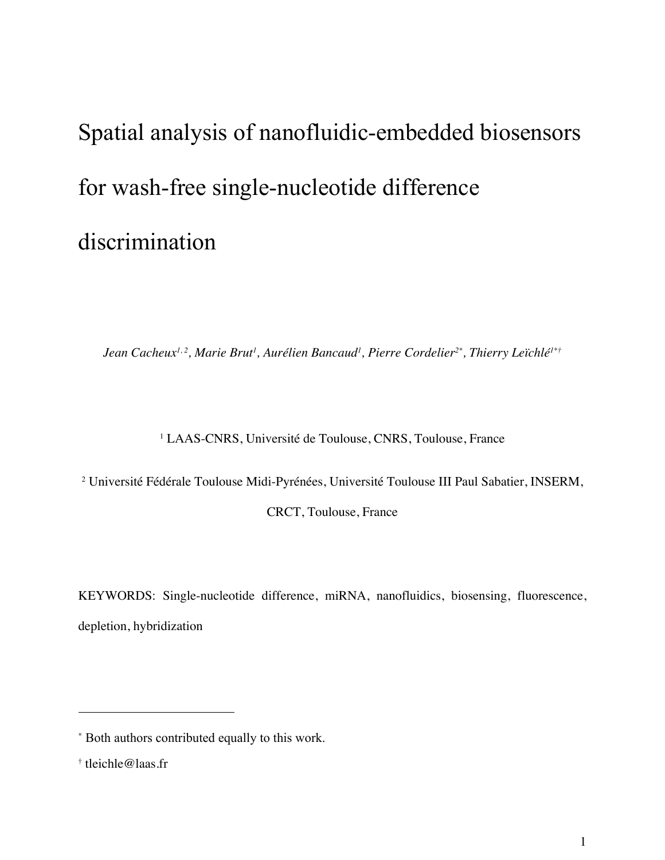# Spatial analysis of nanofluidic-embedded biosensors for wash-free single-nucleotide difference discrimination

*Jean Cacheux1, 2, Marie Brut1 , Aurélien Bancaud1 , Pierre Cordelier2\* , Thierry Leïchlé1\*†*

<sup>1</sup> LAAS-CNRS, Université de Toulouse, CNRS, Toulouse, France

<sup>2</sup> Université Fédérale Toulouse Midi-Pyrénées, Université Toulouse III Paul Sabatier, INSERM,

CRCT, Toulouse, France

KEYWORDS: Single-nucleotide difference, miRNA, nanofluidics, biosensing, fluorescence, depletion, hybridization

<sup>\*</sup> Both authors contributed equally to this work.

<sup>†</sup> tleichle@laas.fr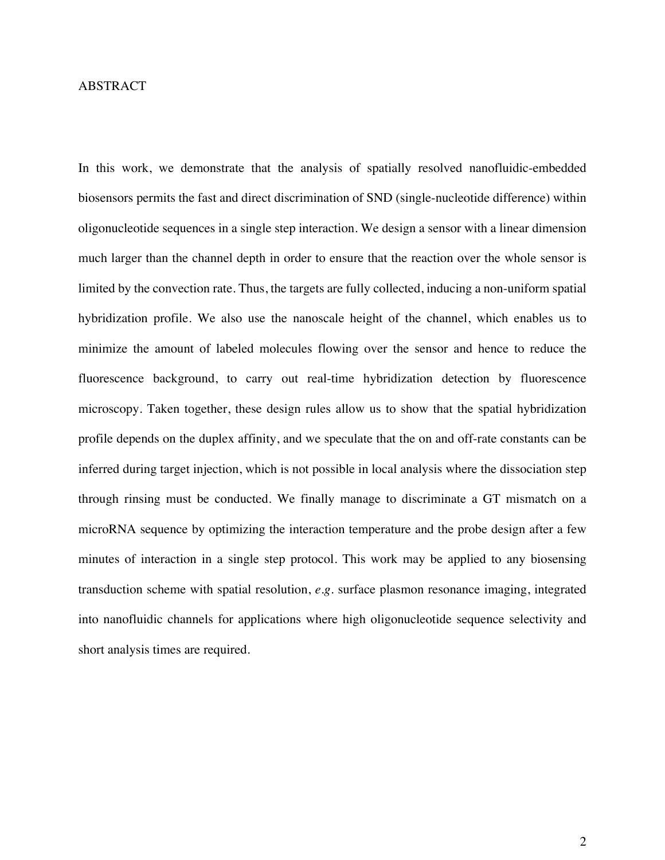#### ABSTRACT

In this work, we demonstrate that the analysis of spatially resolved nanofluidic-embedded biosensors permits the fast and direct discrimination of SND (single-nucleotide difference) within oligonucleotide sequences in a single step interaction. We design a sensor with a linear dimension much larger than the channel depth in order to ensure that the reaction over the whole sensor is limited by the convection rate. Thus, the targets are fully collected, inducing a non-uniform spatial hybridization profile. We also use the nanoscale height of the channel, which enables us to minimize the amount of labeled molecules flowing over the sensor and hence to reduce the fluorescence background, to carry out real-time hybridization detection by fluorescence microscopy. Taken together, these design rules allow us to show that the spatial hybridization profile depends on the duplex affinity, and we speculate that the on and off-rate constants can be inferred during target injection, which is not possible in local analysis where the dissociation step through rinsing must be conducted. We finally manage to discriminate a GT mismatch on a microRNA sequence by optimizing the interaction temperature and the probe design after a few minutes of interaction in a single step protocol. This work may be applied to any biosensing transduction scheme with spatial resolution, *e.g.* surface plasmon resonance imaging, integrated into nanofluidic channels for applications where high oligonucleotide sequence selectivity and short analysis times are required.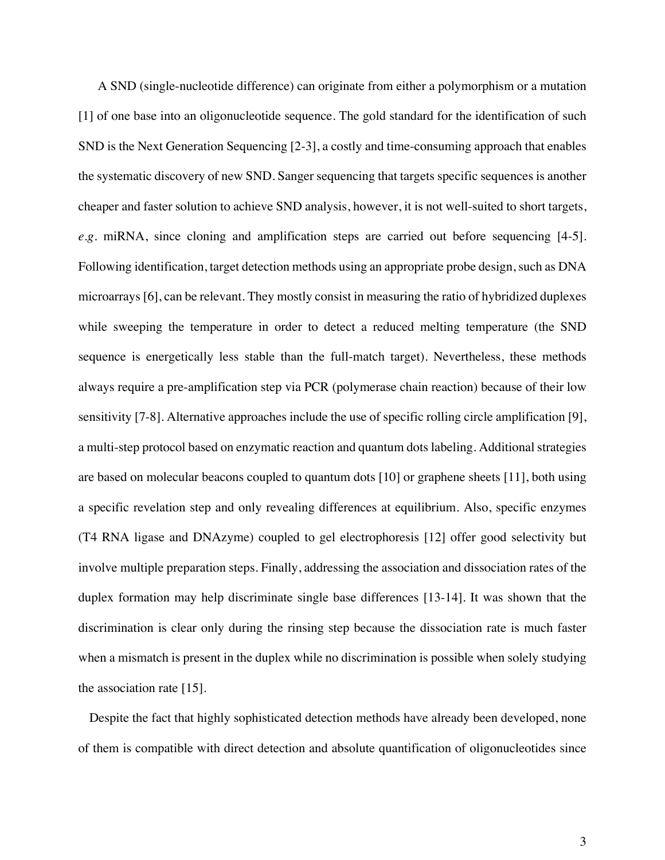A SND (single-nucleotide difference) can originate from either a polymorphism or a mutation [1] of one base into an oligonucleotide sequence. The gold standard for the identification of such SND is the Next Generation Sequencing [2-3], a costly and time-consuming approach that enables the systematic discovery of new SND. Sanger sequencing that targets specific sequences is another cheaper and faster solution to achieve SND analysis, however, it is not well-suited to short targets, *e.g.* miRNA, since cloning and amplification steps are carried out before sequencing [4-5]. Following identification, target detection methods using an appropriate probe design, such as DNA microarrays [6], can be relevant. They mostly consist in measuring the ratio of hybridized duplexes while sweeping the temperature in order to detect a reduced melting temperature (the SND sequence is energetically less stable than the full-match target). Nevertheless, these methods always require a pre-amplification step via PCR (polymerase chain reaction) because of their low sensitivity [7-8]. Alternative approaches include the use of specific rolling circle amplification [9], a multi-step protocol based on enzymatic reaction and quantum dots labeling. Additional strategies are based on molecular beacons coupled to quantum dots [10] or graphene sheets [11], both using a specific revelation step and only revealing differences at equilibrium. Also, specific enzymes (T4 RNA ligase and DNAzyme) coupled to gel electrophoresis [12] offer good selectivity but involve multiple preparation steps. Finally, addressing the association and dissociation rates of the duplex formation may help discriminate single base differences [13-14]. It was shown that the discrimination is clear only during the rinsing step because the dissociation rate is much faster when a mismatch is present in the duplex while no discrimination is possible when solely studying the association rate [15].

Despite the fact that highly sophisticated detection methods have already been developed, none of them is compatible with direct detection and absolute quantification of oligonucleotides since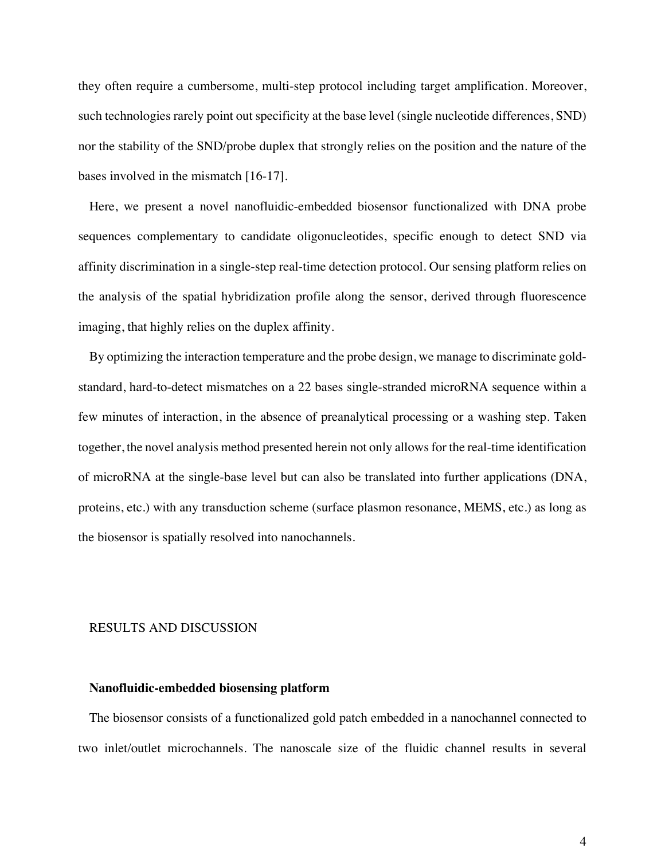they often require a cumbersome, multi-step protocol including target amplification. Moreover, such technologies rarely point out specificity at the base level (single nucleotide differences, SND) nor the stability of the SND/probe duplex that strongly relies on the position and the nature of the bases involved in the mismatch [16-17].

Here, we present a novel nanofluidic-embedded biosensor functionalized with DNA probe sequences complementary to candidate oligonucleotides, specific enough to detect SND via affinity discrimination in a single-step real-time detection protocol. Our sensing platform relies on the analysis of the spatial hybridization profile along the sensor, derived through fluorescence imaging, that highly relies on the duplex affinity.

By optimizing the interaction temperature and the probe design, we manage to discriminate goldstandard, hard-to-detect mismatches on a 22 bases single-stranded microRNA sequence within a few minutes of interaction, in the absence of preanalytical processing or a washing step. Taken together, the novel analysis method presented herein not only allowsfor the real-time identification of microRNA at the single-base level but can also be translated into further applications (DNA, proteins, etc.) with any transduction scheme (surface plasmon resonance, MEMS, etc.) as long as the biosensor is spatially resolved into nanochannels.

#### RESULTS AND DISCUSSION

#### **Nanofluidic-embedded biosensing platform**

The biosensor consists of a functionalized gold patch embedded in a nanochannel connected to two inlet/outlet microchannels. The nanoscale size of the fluidic channel results in several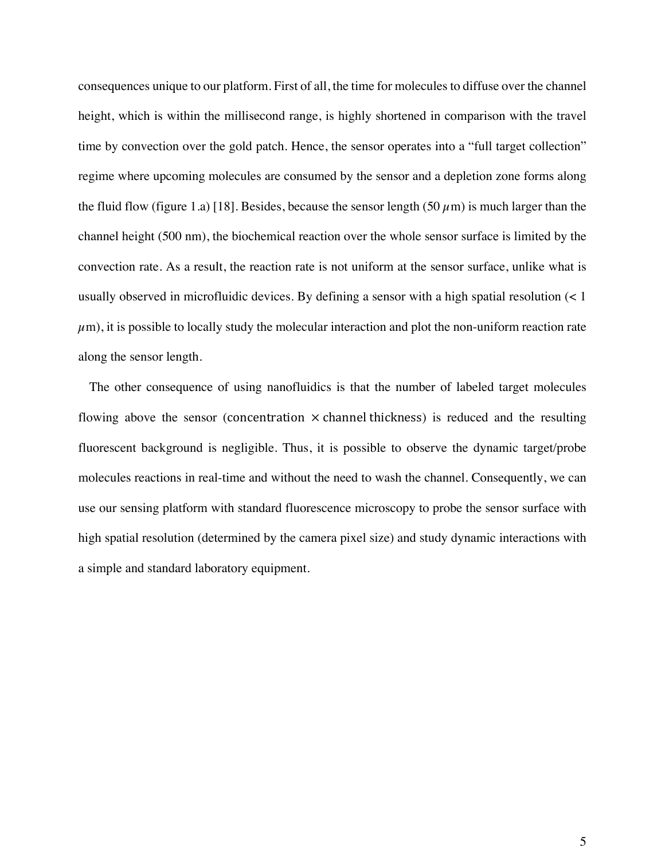consequences unique to our platform. First of all, the time for molecules to diffuse over the channel height, which is within the millisecond range, is highly shortened in comparison with the travel time by convection over the gold patch. Hence, the sensor operates into a "full target collection" regime where upcoming molecules are consumed by the sensor and a depletion zone forms along the fluid flow (figure 1.a) [18]. Besides, because the sensor length (50  $\mu$ m) is much larger than the channel height (500 nm), the biochemical reaction over the whole sensor surface is limited by the convection rate. As a result, the reaction rate is not uniform at the sensor surface, unlike what is usually observed in microfluidic devices. By defining a sensor with a high spatial resolution  $\left($  < 1  $\mu$ m), it is possible to locally study the molecular interaction and plot the non-uniform reaction rate along the sensor length.

The other consequence of using nanofluidics is that the number of labeled target molecules flowing above the sensor (concentration  $\times$  channel thickness) is reduced and the resulting fluorescent background is negligible. Thus, it is possible to observe the dynamic target/probe molecules reactions in real-time and without the need to wash the channel. Consequently, we can use our sensing platform with standard fluorescence microscopy to probe the sensor surface with high spatial resolution (determined by the camera pixel size) and study dynamic interactions with a simple and standard laboratory equipment.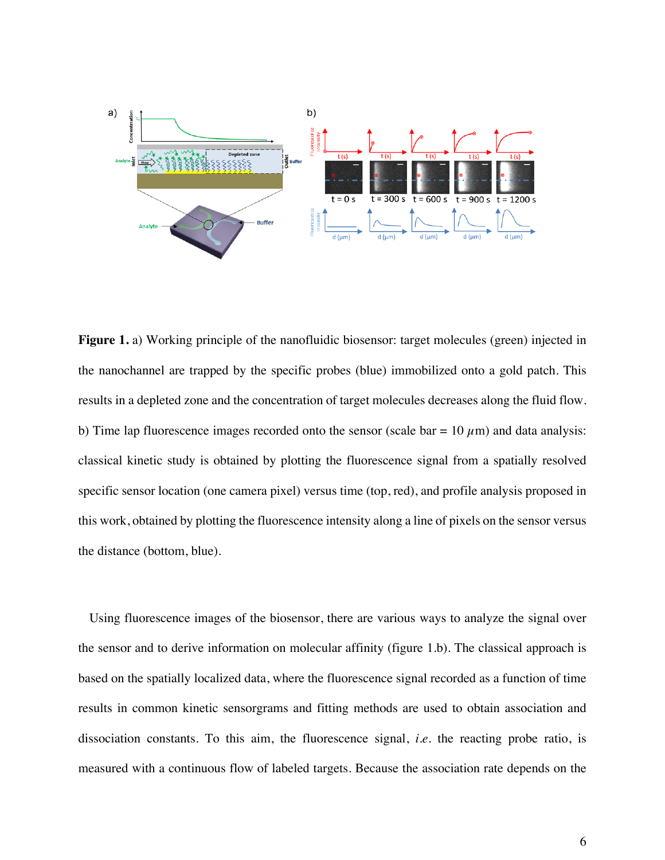

Figure 1. a) Working principle of the nanofluidic biosensor: target molecules (green) injected in the nanochannel are trapped by the specific probes (blue) immobilized onto a gold patch. This results in a depleted zone and the concentration of target molecules decreases along the fluid flow. b) Time lap fluorescence images recorded onto the sensor (scale bar =  $10 \mu$ m) and data analysis: classical kinetic study is obtained by plotting the fluorescence signal from a spatially resolved specific sensor location (one camera pixel) versus time (top, red), and profile analysis proposed in this work, obtained by plotting the fluorescence intensity along a line of pixels on the sensor versus the distance (bottom, blue).

Using fluorescence images of the biosensor, there are various ways to analyze the signal over the sensor and to derive information on molecular affinity (figure 1.b). The classical approach is based on the spatially localized data, where the fluorescence signal recorded as a function of time results in common kinetic sensorgrams and fitting methods are used to obtain association and dissociation constants. To this aim, the fluorescence signal, *i.e.* the reacting probe ratio, is measured with a continuous flow of labeled targets. Because the association rate depends on the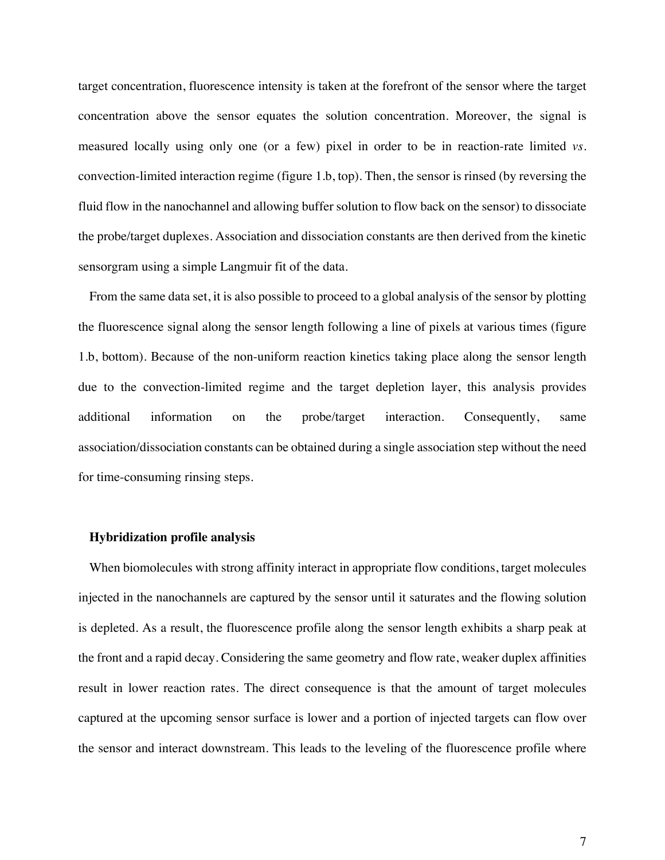target concentration, fluorescence intensity is taken at the forefront of the sensor where the target concentration above the sensor equates the solution concentration. Moreover, the signal is measured locally using only one (or a few) pixel in order to be in reaction-rate limited *vs.* convection-limited interaction regime (figure 1.b, top). Then, the sensor is rinsed (by reversing the fluid flow in the nanochannel and allowing buffer solution to flow back on the sensor) to dissociate the probe/target duplexes. Association and dissociation constants are then derived from the kinetic sensorgram using a simple Langmuir fit of the data.

From the same data set, it is also possible to proceed to a global analysis of the sensor by plotting the fluorescence signal along the sensor length following a line of pixels at various times (figure 1.b, bottom). Because of the non-uniform reaction kinetics taking place along the sensor length due to the convection-limited regime and the target depletion layer, this analysis provides additional information on the probe/target interaction. Consequently, same association/dissociation constants can be obtained during a single association step without the need for time-consuming rinsing steps.

#### **Hybridization profile analysis**

When biomolecules with strong affinity interact in appropriate flow conditions, target molecules injected in the nanochannels are captured by the sensor until it saturates and the flowing solution is depleted. As a result, the fluorescence profile along the sensor length exhibits a sharp peak at the front and a rapid decay. Considering the same geometry and flow rate, weaker duplex affinities result in lower reaction rates. The direct consequence is that the amount of target molecules captured at the upcoming sensor surface is lower and a portion of injected targets can flow over the sensor and interact downstream. This leads to the leveling of the fluorescence profile where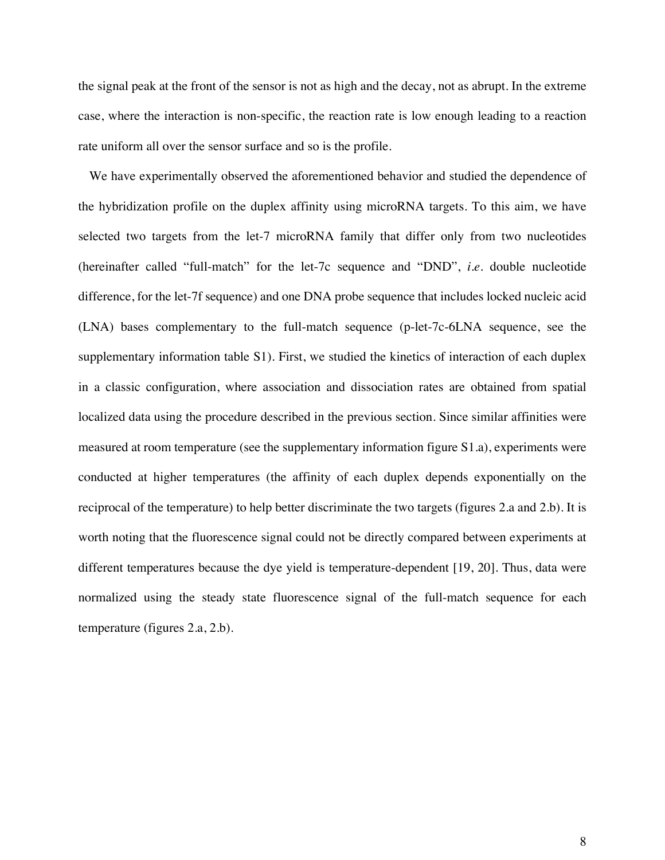the signal peak at the front of the sensor is not as high and the decay, not as abrupt. In the extreme case, where the interaction is non-specific, the reaction rate is low enough leading to a reaction rate uniform all over the sensor surface and so is the profile.

We have experimentally observed the aforementioned behavior and studied the dependence of the hybridization profile on the duplex affinity using microRNA targets. To this aim, we have selected two targets from the let-7 microRNA family that differ only from two nucleotides (hereinafter called "full-match" for the let-7c sequence and "DND", *i.e.* double nucleotide difference, for the let-7f sequence) and one DNA probe sequence that includes locked nucleic acid (LNA) bases complementary to the full-match sequence (p-let-7c-6LNA sequence, see the supplementary information table S1). First, we studied the kinetics of interaction of each duplex in a classic configuration, where association and dissociation rates are obtained from spatial localized data using the procedure described in the previous section. Since similar affinities were measured at room temperature (see the supplementary information figure S1.a), experiments were conducted at higher temperatures (the affinity of each duplex depends exponentially on the reciprocal of the temperature) to help better discriminate the two targets (figures 2.a and 2.b). It is worth noting that the fluorescence signal could not be directly compared between experiments at different temperatures because the dye yield is temperature-dependent [19, 20]. Thus, data were normalized using the steady state fluorescence signal of the full-match sequence for each temperature (figures 2.a, 2.b).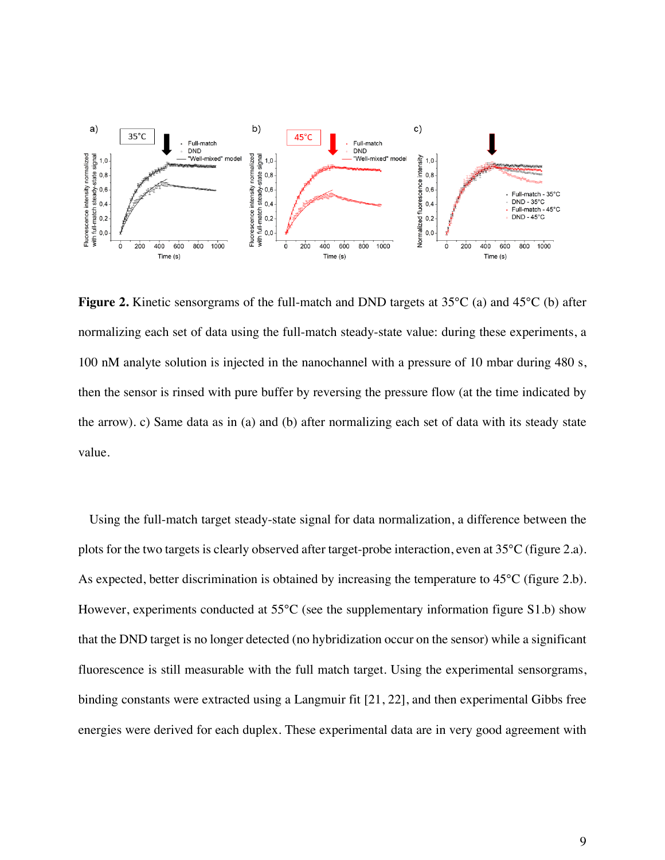

**Figure 2.** Kinetic sensorgrams of the full-match and DND targets at 35°C (a) and 45°C (b) after normalizing each set of data using the full-match steady-state value: during these experiments, a 100 nM analyte solution is injected in the nanochannel with a pressure of 10 mbar during 480 s, then the sensor is rinsed with pure buffer by reversing the pressure flow (at the time indicated by the arrow). c) Same data as in (a) and (b) after normalizing each set of data with its steady state value.

Using the full-match target steady-state signal for data normalization, a difference between the plots for the two targets is clearly observed after target-probe interaction, even at 35°C (figure 2.a). As expected, better discrimination is obtained by increasing the temperature to 45°C (figure 2.b). However, experiments conducted at 55°C (see the supplementary information figure S1.b) show that the DND target is no longer detected (no hybridization occur on the sensor) while a significant fluorescence is still measurable with the full match target. Using the experimental sensorgrams, binding constants were extracted using a Langmuir fit [21, 22], and then experimental Gibbs free energies were derived for each duplex. These experimental data are in very good agreement with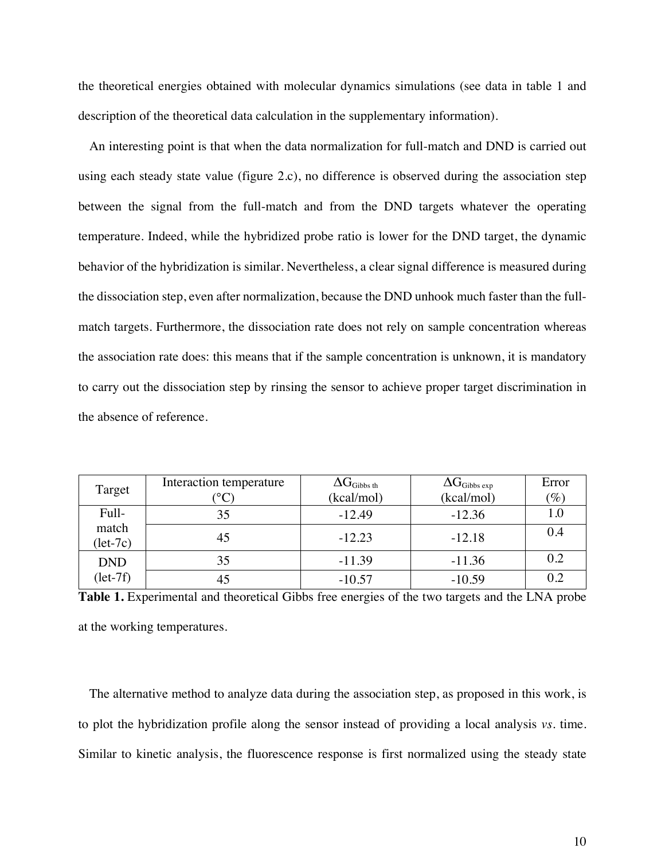the theoretical energies obtained with molecular dynamics simulations (see data in table 1 and description of the theoretical data calculation in the supplementary information).

An interesting point is that when the data normalization for full-match and DND is carried out using each steady state value (figure 2.c), no difference is observed during the association step between the signal from the full-match and from the DND targets whatever the operating temperature. Indeed, while the hybridized probe ratio is lower for the DND target, the dynamic behavior of the hybridization is similar. Nevertheless, a clear signal difference is measured during the dissociation step, even after normalization, because the DND unhook much faster than the fullmatch targets. Furthermore, the dissociation rate does not rely on sample concentration whereas the association rate does: this means that if the sample concentration is unknown, it is mandatory to carry out the dissociation step by rinsing the sensor to achieve proper target discrimination in the absence of reference.

| Target              | Interaction temperature | $\Delta G_{\rm Gibbs\,th}$ | $\Delta G_{\rm Gibbs\,exp}$ | Error   |
|---------------------|-------------------------|----------------------------|-----------------------------|---------|
|                     |                         | (kcal/mol)                 | (kcal/mol)                  | $(\%)$  |
| Full-               | 35                      | $-12.49$                   | $-12.36$                    | $1.0\,$ |
| match<br>$(let-7c)$ | 45                      | $-12.23$                   | $-12.18$                    | 0.4     |
| <b>DND</b>          | 35                      | $-11.39$                   | $-11.36$                    | 0.2     |
| $(\text{let-7f})$   |                         | $-10.57$                   | $-10.59$                    | 0.2     |

**Table 1.** Experimental and theoretical Gibbs free energies of the two targets and the LNA probe at the working temperatures.

The alternative method to analyze data during the association step, as proposed in this work, is to plot the hybridization profile along the sensor instead of providing a local analysis *vs.* time. Similar to kinetic analysis, the fluorescence response is first normalized using the steady state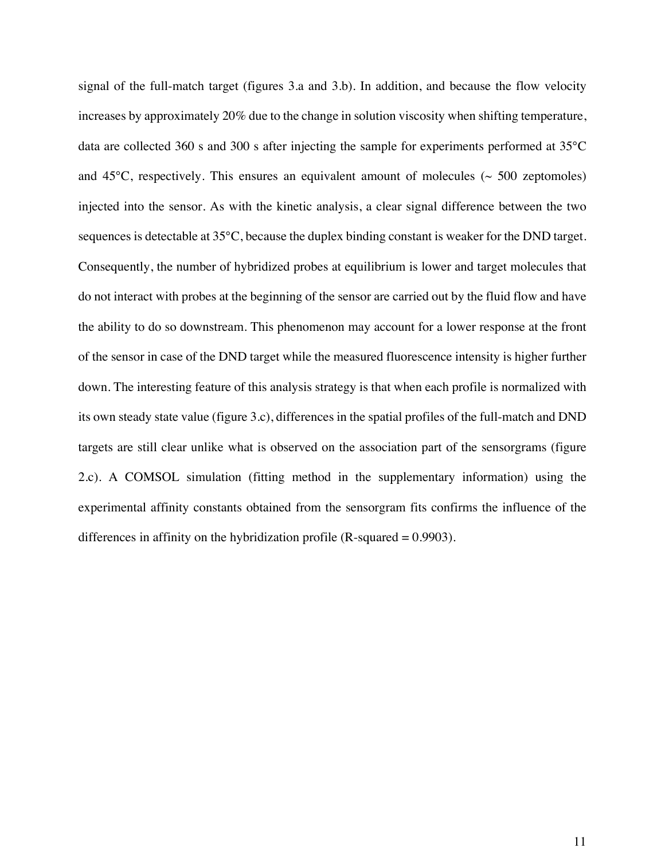signal of the full-match target (figures 3.a and 3.b). In addition, and because the flow velocity increases by approximately 20% due to the change in solution viscosity when shifting temperature, data are collected 360 s and 300 s after injecting the sample for experiments performed at 35°C and  $45^{\circ}$ C, respectively. This ensures an equivalent amount of molecules ( $\sim$  500 zeptomoles) injected into the sensor. As with the kinetic analysis, a clear signal difference between the two sequences is detectable at 35°C, because the duplex binding constant is weaker for the DND target. Consequently, the number of hybridized probes at equilibrium is lower and target molecules that do not interact with probes at the beginning of the sensor are carried out by the fluid flow and have the ability to do so downstream. This phenomenon may account for a lower response at the front of the sensor in case of the DND target while the measured fluorescence intensity is higher further down. The interesting feature of this analysis strategy is that when each profile is normalized with its own steady state value (figure 3.c), differences in the spatial profiles of the full-match and DND targets are still clear unlike what is observed on the association part of the sensorgrams (figure 2.c). A COMSOL simulation (fitting method in the supplementary information) using the experimental affinity constants obtained from the sensorgram fits confirms the influence of the differences in affinity on the hybridization profile  $(R$ -squared  $= 0.9903$ ).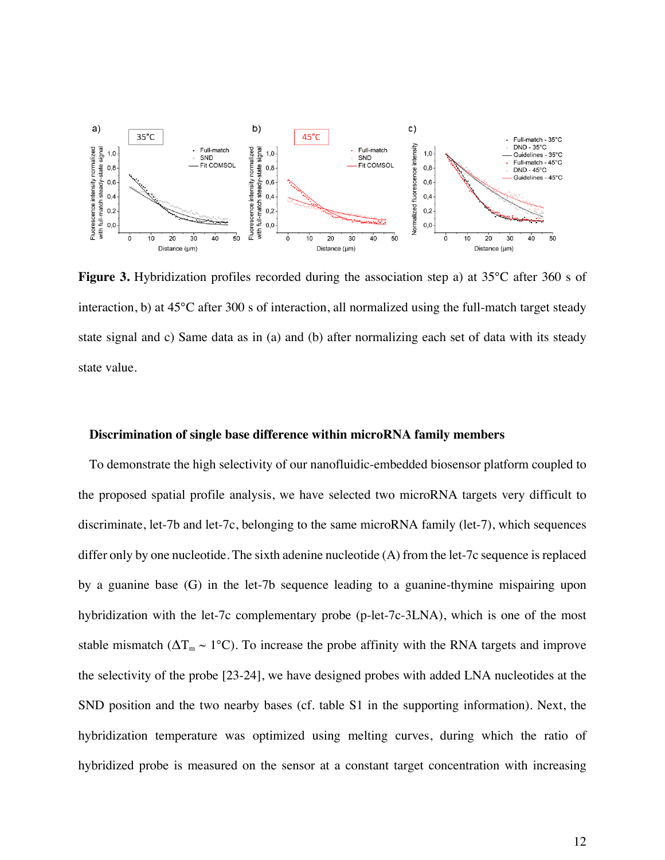

**Figure 3.** Hybridization profiles recorded during the association step a) at 35°C after 360 s of interaction, b) at 45°C after 300 s of interaction, all normalized using the full-match target steady state signal and c) Same data as in (a) and (b) after normalizing each set of data with its steady state value.

#### **Discrimination of single base difference within microRNA family members**

To demonstrate the high selectivity of our nanofluidic-embedded biosensor platform coupled to the proposed spatial profile analysis, we have selected two microRNA targets very difficult to discriminate, let-7b and let-7c, belonging to the same microRNA family (let-7), which sequences differ only by one nucleotide. The sixth adenine nucleotide (A) from the let-7c sequence is replaced by a guanine base (G) in the let-7b sequence leading to a guanine-thymine mispairing upon hybridization with the let-7c complementary probe (p-let-7c-3LNA), which is one of the most stable mismatch ( $\Delta T_m \sim 1^{\circ}\text{C}$ ). To increase the probe affinity with the RNA targets and improve the selectivity of the probe [23-24], we have designed probes with added LNA nucleotides at the SND position and the two nearby bases (cf. table S1 in the supporting information). Next, the hybridization temperature was optimized using melting curves, during which the ratio of hybridized probe is measured on the sensor at a constant target concentration with increasing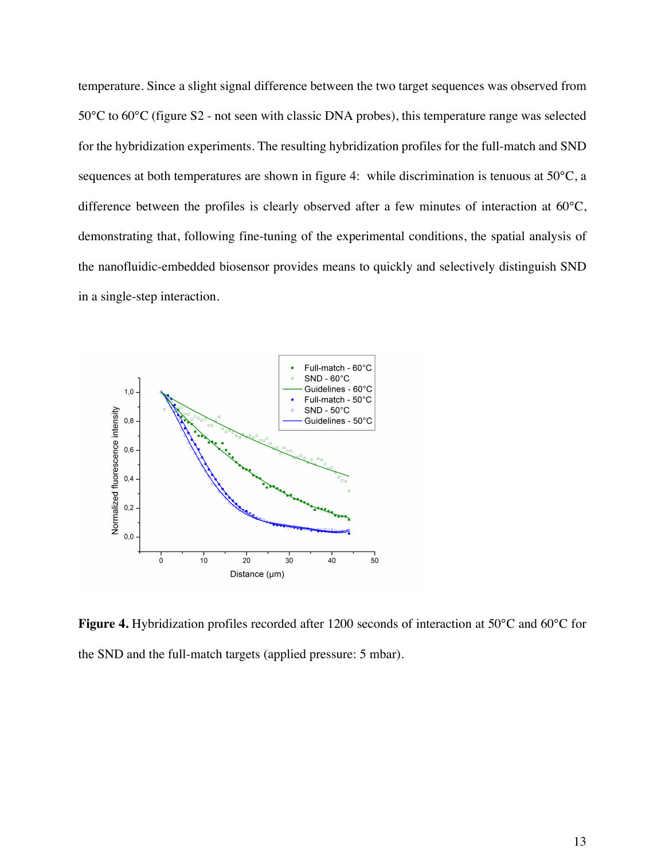temperature. Since a slight signal difference between the two target sequences was observed from 50°C to 60°C (figure S2 - not seen with classic DNA probes), this temperature range was selected for the hybridization experiments. The resulting hybridization profiles for the full-match and SND sequences at both temperatures are shown in figure 4: while discrimination is tenuous at 50°C, a difference between the profiles is clearly observed after a few minutes of interaction at 60°C, demonstrating that, following fine-tuning of the experimental conditions, the spatial analysis of the nanofluidic-embedded biosensor provides means to quickly and selectively distinguish SND in a single-step interaction.



**Figure 4.** Hybridization profiles recorded after 1200 seconds of interaction at 50°C and 60°C for the SND and the full-match targets (applied pressure: 5 mbar).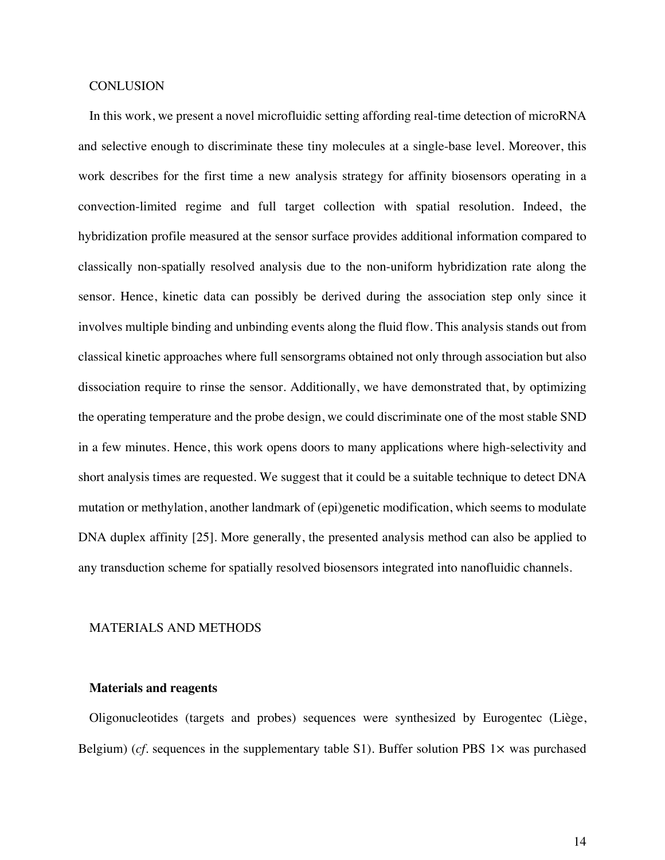#### **CONLUSION**

In this work, we present a novel microfluidic setting affording real-time detection of microRNA and selective enough to discriminate these tiny molecules at a single-base level. Moreover, this work describes for the first time a new analysis strategy for affinity biosensors operating in a convection-limited regime and full target collection with spatial resolution. Indeed, the hybridization profile measured at the sensor surface provides additional information compared to classically non-spatially resolved analysis due to the non-uniform hybridization rate along the sensor. Hence, kinetic data can possibly be derived during the association step only since it involves multiple binding and unbinding events along the fluid flow. This analysis stands out from classical kinetic approaches where full sensorgrams obtained not only through association but also dissociation require to rinse the sensor. Additionally, we have demonstrated that, by optimizing the operating temperature and the probe design, we could discriminate one of the most stable SND in a few minutes. Hence, this work opens doors to many applications where high-selectivity and short analysis times are requested. We suggest that it could be a suitable technique to detect DNA mutation or methylation, another landmark of (epi)genetic modification, which seems to modulate DNA duplex affinity [25]. More generally, the presented analysis method can also be applied to any transduction scheme for spatially resolved biosensors integrated into nanofluidic channels.

#### MATERIALS AND METHODS

#### **Materials and reagents**

Oligonucleotides (targets and probes) sequences were synthesized by Eurogentec (Liège, Belgium) ( $cf.$  sequences in the supplementary table S1). Buffer solution PBS  $1\times$  was purchased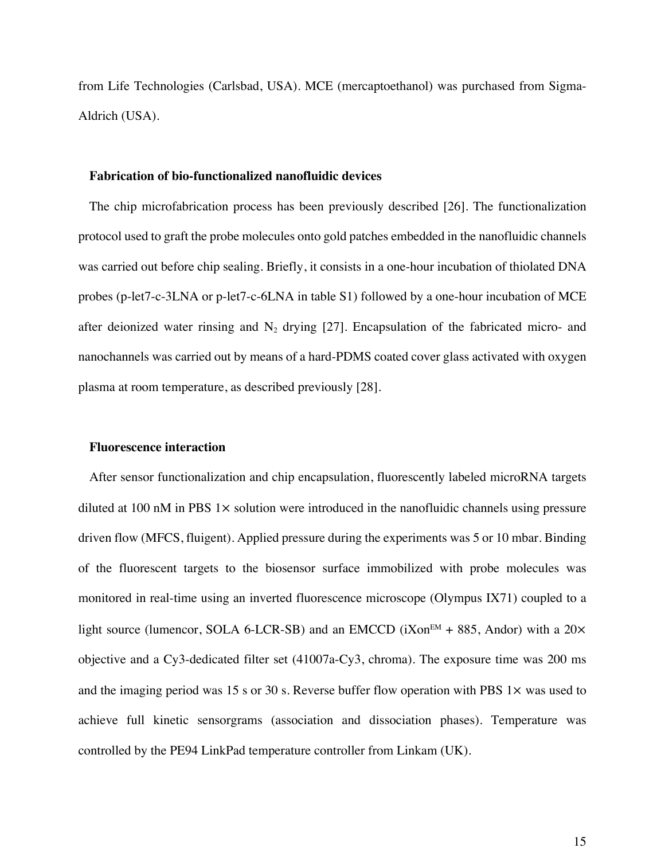from Life Technologies (Carlsbad, USA). MCE (mercaptoethanol) was purchased from Sigma-Aldrich (USA).

#### **Fabrication of bio-functionalized nanofluidic devices**

The chip microfabrication process has been previously described [26]. The functionalization protocol used to graft the probe molecules onto gold patches embedded in the nanofluidic channels was carried out before chip sealing. Briefly, it consists in a one-hour incubation of thiolated DNA probes (p-let7-c-3LNA or p-let7-c-6LNA in table S1) followed by a one-hour incubation of MCE after deionized water rinsing and  $N_2$  drying [27]. Encapsulation of the fabricated micro- and nanochannels was carried out by means of a hard-PDMS coated cover glass activated with oxygen plasma at room temperature, as described previously [28].

#### **Fluorescence interaction**

After sensor functionalization and chip encapsulation, fluorescently labeled microRNA targets diluted at 100 nM in PBS 1× solution were introduced in the nanofluidic channels using pressure driven flow (MFCS, fluigent). Applied pressure during the experiments was 5 or 10 mbar. Binding of the fluorescent targets to the biosensor surface immobilized with probe molecules was monitored in real-time using an inverted fluorescence microscope (Olympus IX71) coupled to a light source (lumencor, SOLA 6-LCR-SB) and an EMCCD ( $iXon<sup>EM</sup> + 885$ , Andor) with a 20 $\times$ objective and a Cy3-dedicated filter set (41007a-Cy3, chroma). The exposure time was 200 ms and the imaging period was 15 s or 30 s. Reverse buffer flow operation with PBS  $1\times$  was used to achieve full kinetic sensorgrams (association and dissociation phases). Temperature was controlled by the PE94 LinkPad temperature controller from Linkam (UK).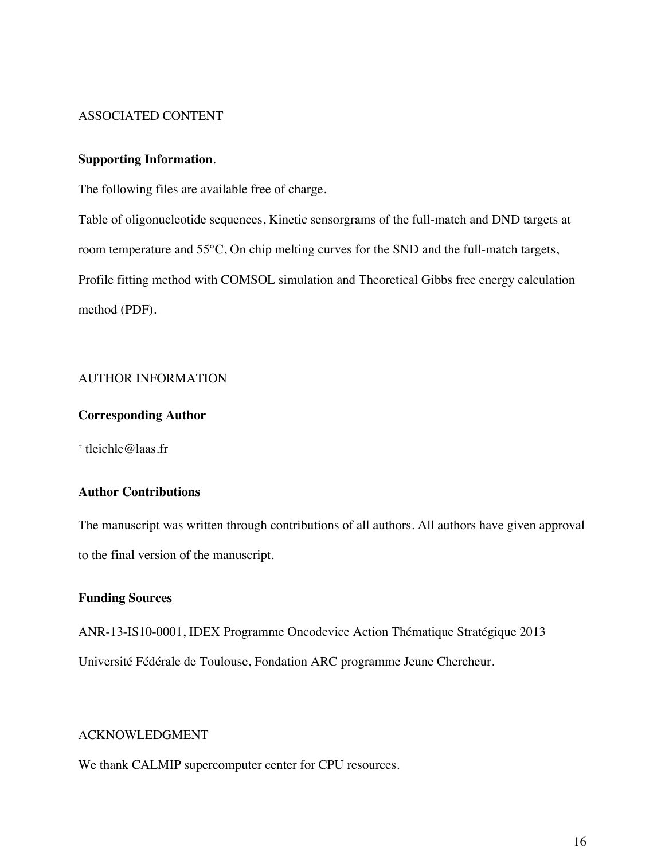#### ASSOCIATED CONTENT

#### **Supporting Information**.

The following files are available free of charge.

Table of oligonucleotide sequences, Kinetic sensorgrams of the full-match and DND targets at room temperature and 55°C, On chip melting curves for the SND and the full-match targets, Profile fitting method with COMSOL simulation and Theoretical Gibbs free energy calculation method (PDF).

#### AUTHOR INFORMATION

#### **Corresponding Author**

† tleichle@laas.fr

#### **Author Contributions**

The manuscript was written through contributions of all authors. All authors have given approval to the final version of the manuscript.

#### **Funding Sources**

ANR-13-IS10-0001, IDEX Programme Oncodevice Action Thématique Stratégique 2013 Université Fédérale de Toulouse, Fondation ARC programme Jeune Chercheur.

#### ACKNOWLEDGMENT

We thank CALMIP supercomputer center for CPU resources.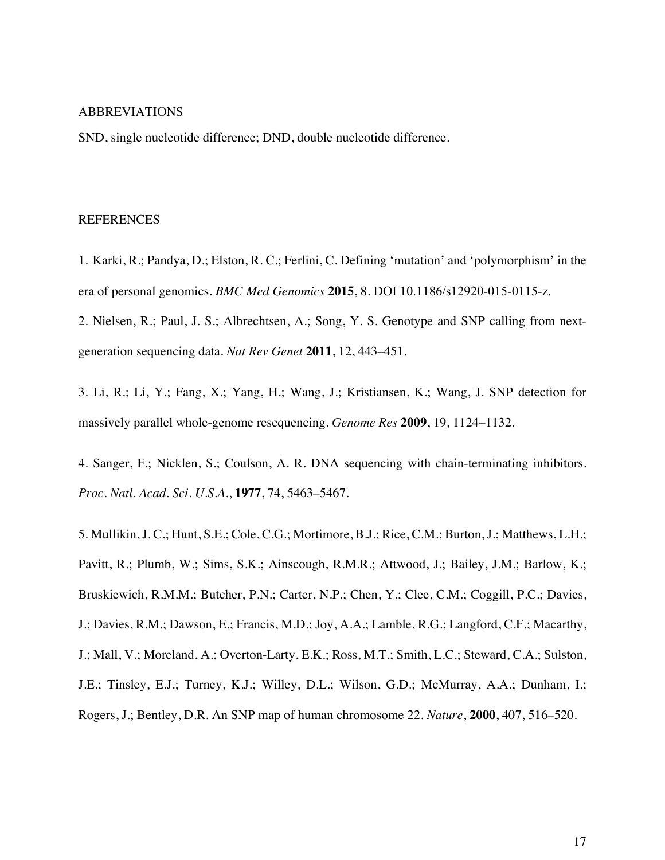#### ABBREVIATIONS

SND, single nucleotide difference; DND, double nucleotide difference.

#### REFERENCES

1. Karki, R.; Pandya, D.; Elston, R. C.; Ferlini, C. Defining 'mutation' and 'polymorphism' in the era of personal genomics. *BMC Med Genomics* **2015**, 8. DOI 10.1186/s12920-015-0115-z.

2. Nielsen, R.; Paul, J. S.; Albrechtsen, A.; Song, Y. S. Genotype and SNP calling from nextgeneration sequencing data. *Nat Rev Genet* **2011**, 12, 443–451.

3. Li, R.; Li, Y.; Fang, X.; Yang, H.; Wang, J.; Kristiansen, K.; Wang, J. SNP detection for massively parallel whole-genome resequencing. *Genome Res* **2009**, 19, 1124–1132.

4. Sanger, F.; Nicklen, S.; Coulson, A. R. DNA sequencing with chain-terminating inhibitors. *Proc. Natl. Acad. Sci. U.S.A.*, **1977**, 74, 5463–5467.

5. Mullikin, J. C.; Hunt, S.E.; Cole, C.G.; Mortimore, B.J.; Rice, C.M.; Burton, J.; Matthews, L.H.; Pavitt, R.; Plumb, W.; Sims, S.K.; Ainscough, R.M.R.; Attwood, J.; Bailey, J.M.; Barlow, K.; Bruskiewich, R.M.M.; Butcher, P.N.; Carter, N.P.; Chen, Y.; Clee, C.M.; Coggill, P.C.; Davies, J.; Davies, R.M.; Dawson, E.; Francis, M.D.; Joy, A.A.; Lamble, R.G.; Langford, C.F.; Macarthy, J.; Mall, V.; Moreland, A.; Overton-Larty, E.K.; Ross, M.T.; Smith, L.C.; Steward, C.A.; Sulston, J.E.; Tinsley, E.J.; Turney, K.J.; Willey, D.L.; Wilson, G.D.; McMurray, A.A.; Dunham, I.; Rogers, J.; Bentley, D.R*.* An SNP map of human chromosome 22. *Nature*, **2000**, 407, 516–520.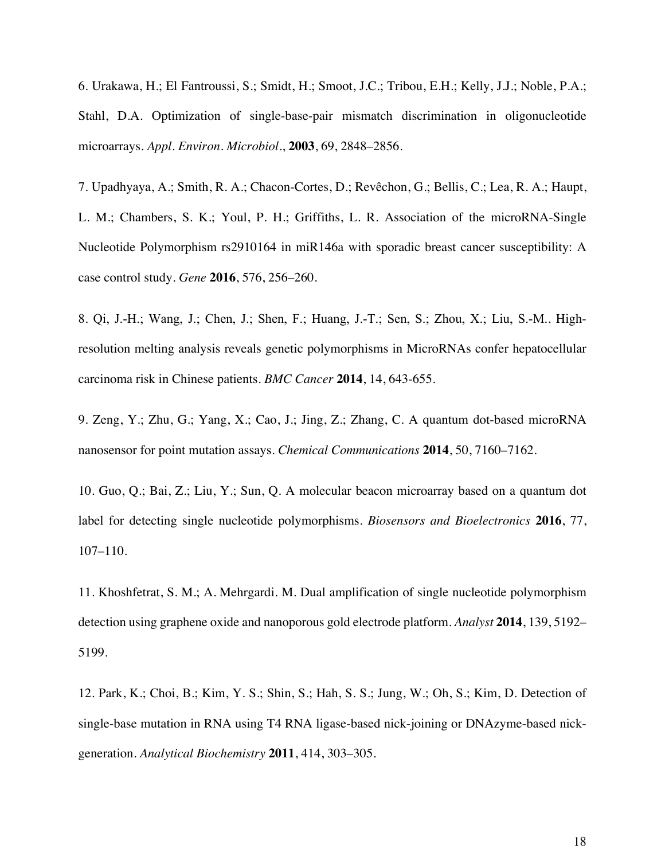6. Urakawa, H.; El Fantroussi, S.; Smidt, H.; Smoot, J.C.; Tribou, E.H.; Kelly, J.J.; Noble, P.A.; Stahl, D.A*.* Optimization of single-base-pair mismatch discrimination in oligonucleotide microarrays. *Appl. Environ. Microbiol.*, **2003**, 69, 2848–2856.

7. Upadhyaya, A.; Smith, R. A.; Chacon-Cortes, D.; Revêchon, G.; Bellis, C.; Lea, R. A.; Haupt, L. M.; Chambers, S. K.; Youl, P. H.; Griffiths, L. R. Association of the microRNA-Single Nucleotide Polymorphism rs2910164 in miR146a with sporadic breast cancer susceptibility: A case control study. *Gene* **2016**, 576, 256–260.

8. Qi, J.-H.; Wang, J.; Chen, J.; Shen, F.; Huang, J.-T.; Sen, S.; Zhou, X.; Liu, S.-M.. Highresolution melting analysis reveals genetic polymorphisms in MicroRNAs confer hepatocellular carcinoma risk in Chinese patients. *BMC Cancer* **2014**, 14, 643-655.

9. Zeng, Y.; Zhu, G.; Yang, X.; Cao, J.; Jing, Z.; Zhang, C. A quantum dot-based microRNA nanosensor for point mutation assays. *Chemical Communications* **2014**, 50, 7160–7162.

10. Guo, Q.; Bai, Z.; Liu, Y.; Sun, Q. A molecular beacon microarray based on a quantum dot label for detecting single nucleotide polymorphisms. *Biosensors and Bioelectronics* **2016**, 77, 107–110.

11. Khoshfetrat, S. M.; A. Mehrgardi. M. Dual amplification of single nucleotide polymorphism detection using graphene oxide and nanoporous gold electrode platform. *Analyst* **2014**, 139, 5192– 5199.

12. Park, K.; Choi, B.; Kim, Y. S.; Shin, S.; Hah, S. S.; Jung, W.; Oh, S.; Kim, D. Detection of single-base mutation in RNA using T4 RNA ligase-based nick-joining or DNAzyme-based nickgeneration. *Analytical Biochemistry* **2011**, 414, 303–305.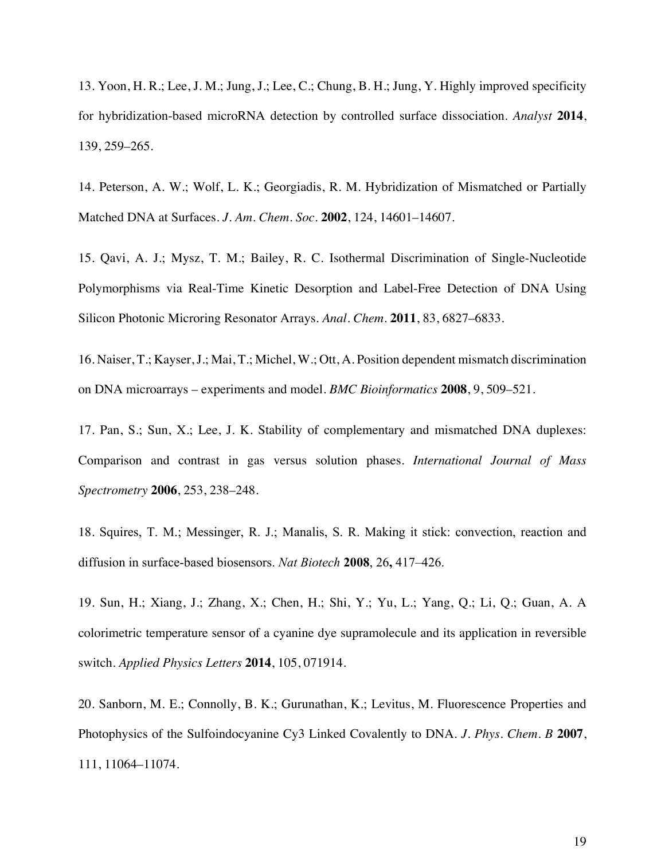13. Yoon, H. R.; Lee, J. M.; Jung, J.; Lee, C.; Chung, B. H.; Jung, Y. Highly improved specificity for hybridization-based microRNA detection by controlled surface dissociation. *Analyst* **2014**, 139, 259–265.

14. Peterson, A. W.; Wolf, L. K.; Georgiadis, R. M. Hybridization of Mismatched or Partially Matched DNA at Surfaces. *J. Am. Chem. Soc.* **2002**, 124, 14601–14607.

15. Qavi, A. J.; Mysz, T. M.; Bailey, R. C. Isothermal Discrimination of Single-Nucleotide Polymorphisms via Real-Time Kinetic Desorption and Label-Free Detection of DNA Using Silicon Photonic Microring Resonator Arrays. *Anal. Chem.* **2011**, 83, 6827–6833.

16. Naiser, T.; Kayser, J.; Mai, T.; Michel, W.; Ott, A. Position dependent mismatch discrimination on DNA microarrays – experiments and model. *BMC Bioinformatics* **2008**, 9, 509–521.

17. Pan, S.; Sun, X.; Lee, J. K. Stability of complementary and mismatched DNA duplexes: Comparison and contrast in gas versus solution phases. *International Journal of Mass Spectrometry* **2006**, 253, 238–248.

18. Squires, T. M.; Messinger, R. J.; Manalis, S. R. Making it stick: convection, reaction and diffusion in surface-based biosensors. *Nat Biotech* **2008**, 26**,** 417–426.

19. Sun, H.; Xiang, J.; Zhang, X.; Chen, H.; Shi, Y.; Yu, L.; Yang, Q.; Li, Q.; Guan, A. A colorimetric temperature sensor of a cyanine dye supramolecule and its application in reversible switch. *Applied Physics Letters* **2014**, 105, 071914.

20. Sanborn, M. E.; Connolly, B. K.; Gurunathan, K.; Levitus, M. Fluorescence Properties and Photophysics of the Sulfoindocyanine Cy3 Linked Covalently to DNA. *J. Phys. Chem. B* **2007**, 111, 11064–11074.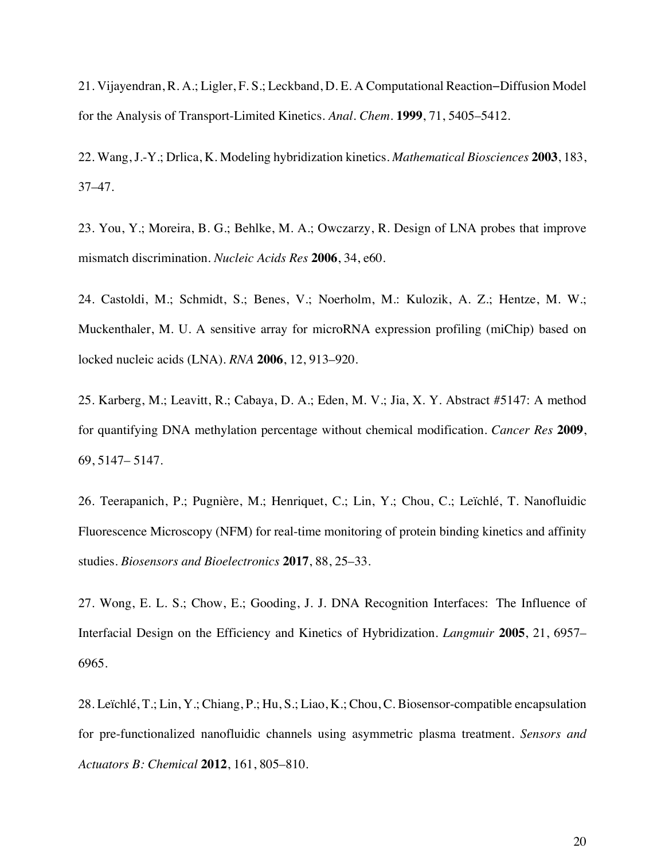21. Vijayendran, R. A.; Ligler, F. S.; Leckband, D. E. A Computational Reaction−Diffusion Model for the Analysis of Transport-Limited Kinetics. *Anal. Chem.* **1999**, 71, 5405–5412.

22. Wang, J.-Y.; Drlica, K. Modeling hybridization kinetics. *Mathematical Biosciences* **2003**, 183, 37–47.

23. You, Y.; Moreira, B. G.; Behlke, M. A.; Owczarzy, R. Design of LNA probes that improve mismatch discrimination. *Nucleic Acids Res* **2006**, 34, e60.

24. Castoldi, M.; Schmidt, S.; Benes, V.; Noerholm, M.: Kulozik, A. Z.; Hentze, M. W.; Muckenthaler, M. U. A sensitive array for microRNA expression profiling (miChip) based on locked nucleic acids (LNA). *RNA* **2006**, 12, 913–920.

25. Karberg, M.; Leavitt, R.; Cabaya, D. A.; Eden, M. V.; Jia, X. Y. Abstract #5147: A method for quantifying DNA methylation percentage without chemical modification. *Cancer Res* **2009**, 69, 5147– 5147.

26. Teerapanich, P.; Pugnière, M.; Henriquet, C.; Lin, Y.; Chou, C.; Leïchlé, T. Nanofluidic Fluorescence Microscopy (NFM) for real-time monitoring of protein binding kinetics and affinity studies. *Biosensors and Bioelectronics* **2017**, 88, 25–33.

27. Wong, E. L. S.; Chow, E.; Gooding, J. J. DNA Recognition Interfaces: The Influence of Interfacial Design on the Efficiency and Kinetics of Hybridization. *Langmuir* **2005**, 21, 6957– 6965.

28. Leïchlé, T.; Lin, Y.; Chiang, P.; Hu, S.; Liao, K.; Chou, C. Biosensor-compatible encapsulation for pre-functionalized nanofluidic channels using asymmetric plasma treatment*. Sensors and Actuators B: Chemical* **2012**, 161, 805–810.

20